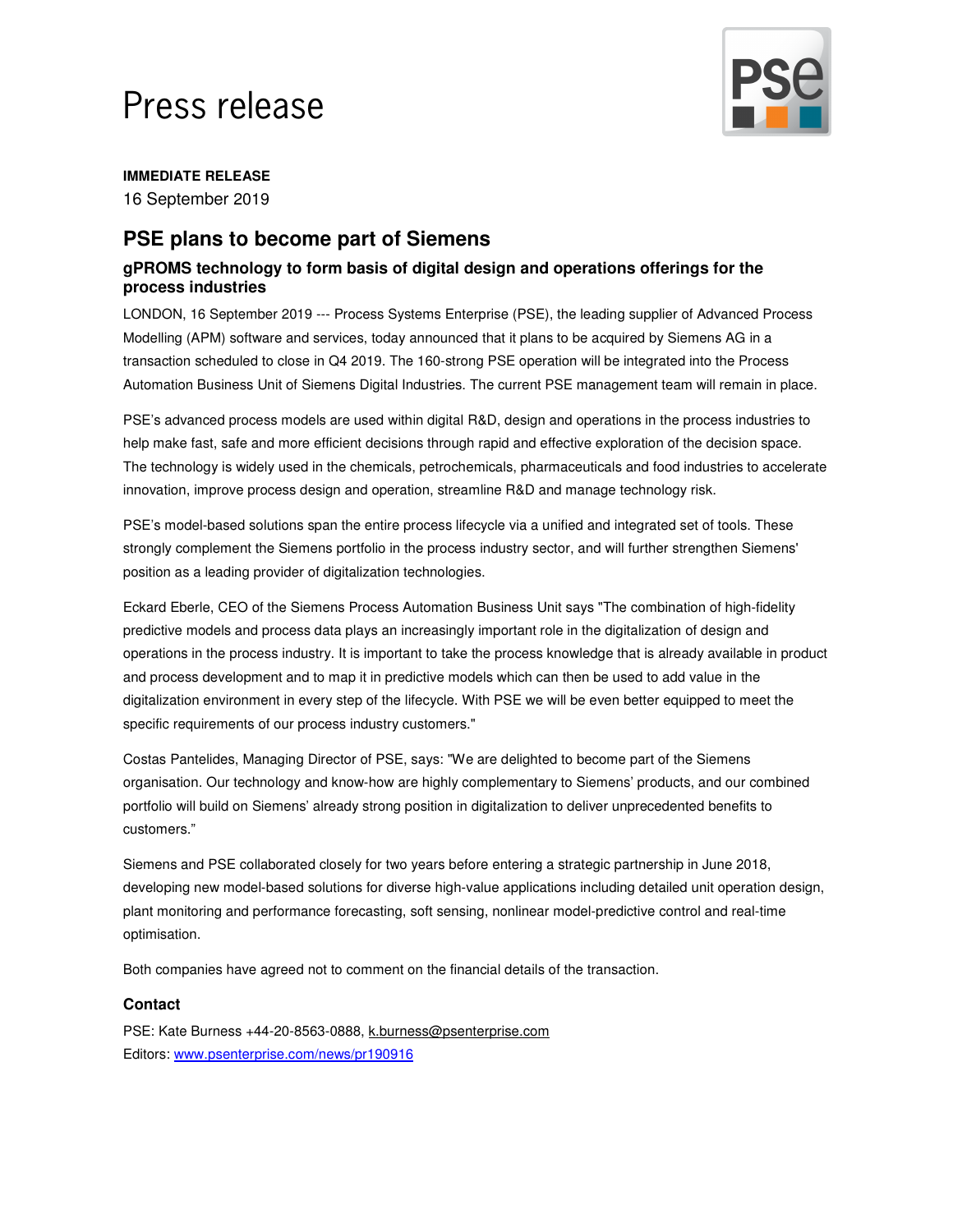# Press release



**IMMEDIATE RELEASE**

16 September 2019

## **PSE plans to become part of Siemens**

### **gPROMS technology to form basis of digital design and operations offerings for the process industries**

LONDON, 16 September 2019 --- Process Systems Enterprise (PSE), the leading supplier of Advanced Process Modelling (APM) software and services, today announced that it plans to be acquired by Siemens AG in a transaction scheduled to close in Q4 2019. The 160-strong PSE operation will be integrated into the Process Automation Business Unit of Siemens Digital Industries. The current PSE management team will remain in place.

PSE's advanced process models are used within digital R&D, design and operations in the process industries to help make fast, safe and more efficient decisions through rapid and effective exploration of the decision space. The technology is widely used in the chemicals, petrochemicals, pharmaceuticals and food industries to accelerate innovation, improve process design and operation, streamline R&D and manage technology risk.

PSE's model-based solutions span the entire process lifecycle via a unified and integrated set of tools. These strongly complement the Siemens portfolio in the process industry sector, and will further strengthen Siemens' position as a leading provider of digitalization technologies.

Eckard Eberle, CEO of the Siemens Process Automation Business Unit says "The combination of high-fidelity predictive models and process data plays an increasingly important role in the digitalization of design and operations in the process industry. It is important to take the process knowledge that is already available in product and process development and to map it in predictive models which can then be used to add value in the digitalization environment in every step of the lifecycle. With PSE we will be even better equipped to meet the specific requirements of our process industry customers."

Costas Pantelides, Managing Director of PSE, says: "We are delighted to become part of the Siemens organisation. Our technology and know-how are highly complementary to Siemens' products, and our combined portfolio will build on Siemens' already strong position in digitalization to deliver unprecedented benefits to customers."

Siemens and PSE collaborated closely for two years before entering a strategic partnership in June 2018, developing new model-based solutions for diverse high-value applications including detailed unit operation design, plant monitoring and performance forecasting, soft sensing, nonlinear model-predictive control and real-time optimisation.

Both companies have agreed not to comment on the financial details of the transaction.

#### **Contact**

PSE: Kate Burness +44-20-8563-0888, k.burness@psenterprise.com Editors: www.psenterprise.com/news/pr190916